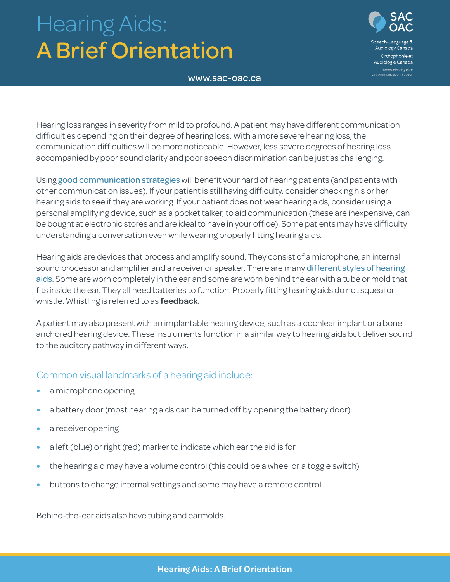# Hearing Aids: A Brief Orientation



www.sac-oac.ca

Hearing loss ranges in severity from mild to profound. A patient may have different communication difficulties depending on their degree of hearing loss. With a more severe hearing loss, the communication difficulties will be more noticeable. However, less severe degrees of hearing loss accompanied by poor sound clarity and poor speech discrimination can be just as challenging.

Using [good communication strategie](http://sac-oac.ca/sites/default/files/resources/Hearing%20tip%20sheet_EN.pdf)s will benefit your hard of hearing patients (and patients with other communication issues). If your patient is still having difficulty, consider checking his or her hearing aids to see if they are working. If your patient does not wear hearing aids, consider using a personal amplifying device, such as a pocket talker, to aid communication (these are inexpensive, can be bought at electronic stores and are ideal to have in your office). Some patients may have difficulty understanding a conversation even while wearing properly fitting hearing aids.

Hearing aids are devices that process and amplify sound. They consist of a microphone, an internal sound processor and amplifier and a receiver or speaker. There are many different styles of hearing [aids](http://www.asha.org/public/hearing/Different-Styles-of-Hearing-Aids/). Some are worn completely in the ear and some are worn behind the ear with a tube or mold that fits inside the ear. They all need batteries to function. Properly fitting hearing aids do not squeal or whistle. Whistling is referred to as **feedback**.

A patient may also present with an implantable hearing device, such as a cochlear implant or a bone anchored hearing device. These instruments function in a similar way to hearing aids but deliver sound to the auditory pathway in different ways.

### Common visual landmarks of a hearing aid include:

- **•** a microphone opening
- **•** a battery door (most hearing aids can be turned off by opening the battery door)
- **•** a receiver opening
- **•** a left (blue) or right (red) marker to indicate which ear the aid is for
- **•** the hearing aid may have a volume control (this could be a wheel or a toggle switch)
- **•** buttons to change internal settings and some may have a remote control

Behind-the-ear aids also have tubing and earmolds.